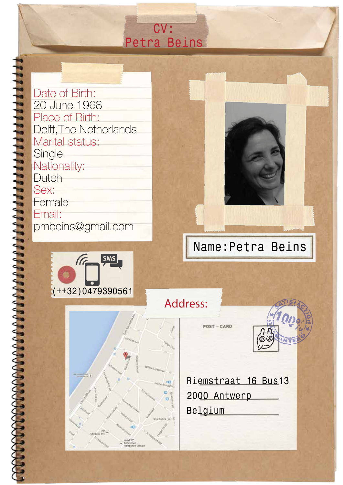Date of Birth: 20 June 1968 Place of Birth: Delft,The Netherlands Marital status: **Single** Nationality: **Dutch** Sex: **Female** Email: pmbeins@gmail.com







# Name:Petra Beins

Address:

POST-CARD



Riemstraat 16 Bus13 2000 Antwerp Belgium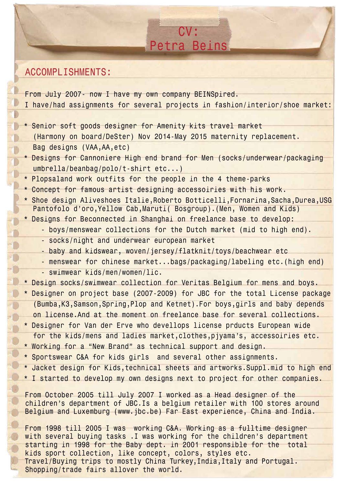### ACCOMPLISHMENTS:

From July 2007- now I have my own company BEINSpired. I have/had assignments for several projects in fashion/interior/shoe market:

\* Senior soft goods designer for Amenity kits travel market (Harmony on board/DeSter) Nov 2014-May 2015 maternity replacement. Bag designs (VAA,AA,etc)

\* Designs for Cannoniere High end brand for Men (socks/underwear/packaging umbrella/beanbag/polo/t-shirt etc...)

- \* Plopsaland work outfits for the people in the 4 theme-parks
- \* Concept for famous artist designing accessoiries with his work.
- \* Shoe design Aliveshoes Italie,Roberto Botticelli,Fornarina,Sacha,Durea,USG Pantofolo d'oro,Yellow Cab,Maruti( Bosgroup).(Men, Women and Kids)
- \* Designs for Beconnected in Shanghai on freelance base to develop:
	- boys/menswear collections for the Dutch market (mid to high end).
	- socks/night and underwear european market
	- baby and kidswear, woven/jersey/flatknit/toys/beachwear etc
	- menswear for chinese market...bags/packaging/labeling etc.(high end) - swimwear kids/men/women/lic.
- \* Design socks/swimwear collection for Veritas Belgium for mens and boys.
- \* Designer on project base (2007-2009) for JBC for the total License package (Bumba,K3,Samson,Spring,Plop and Ketnet).For boys,girls and baby depends
- on license.And at the moment on freelance base for several collections.
- \* Designer for Van der Erve who devellops license prducts European wide for the kids/mens and ladies market,clothes,pjyama's, accessoiries etc.
- \* Working for a "New Brand" as technical support and design.
- \* Sportswear C&A for kids girls and several other assignments.
- \* Jacket design for Kids,technical sheets and artworks.Suppl.mid to high end
- \* I started to develop my own designs next to project for other companies.

From October 2005 till July 2007 I worked as a Head designer of the children's department of JBC.Is a belgium retailer with 100 stores around Belgium and Luxemburg (www.jbc.be) Far East experience, China and India.

From 1998 till 2005 I was working C&A. Working as a fulltime designer with several buying tasks . I was working for the children's department starting in 1998 for the Baby dept. in 2001 responsible for the total kids sport collection, like concept, colors, styles etc. Travel/Buying trips to mostly China Turkey,India,Italy and Portugal. Shopping/trade fairs allover the world.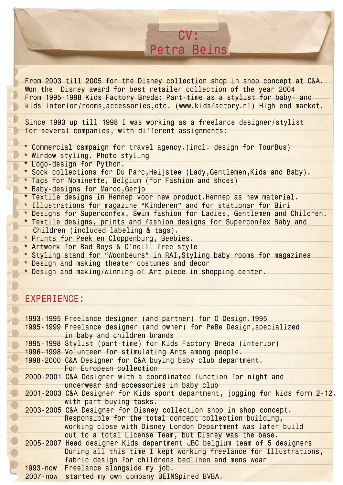From 2003 till 2005 for the Disney collection shop in shop concept at C&A. Won the Disney award for best retailer collection of the year 2004 From 1995-1998 Kids Factory Breda: Part-time as a stylist for baby- and kids interior/rooms,accessories,etc. (www.kidsfactory.nl) High end market.

Since 1993 up till 1998 I was working as a freelance designer/stylist for several companies, with different assignments:

- \* Commercial campaign for travel agency.(incl. design for TourBus)
- \* Window styling. Photo styling
- \* Logo-design for Python.
- \* Sock collections for Du Parc,Heijstee (Lady,Gentlemen,Kids and Baby).
- \* Tags for Nominette, Belgium (for Fashion and shoes)
- \* Baby-designs for Marco,Gerjo
- \* Textile designs in Hennep voor new product.Hennep as new material.
- \* Illustrations for magazine "Kinderen" and for stationar for Biri
- \* Designs for Superconfex, Swim fashion for Ladies, Gentlemen and Children.
- \* Textile designs, prints and fashion designs for Superconfex Baby and Children (included labeling & tags).
- \* Prints for Peek en Cloppenburg, Beebies.
- \* Artwork for Bad Boys & O'neill free style
- \* Styling stand for "Woonbeurs" in RAI,Styling baby rooms for magazines
- \* Design and making theater costumes and decor
- \* Design and making/winning of Art piece in shopping center.

#### EXPERIENCE:

10

**PODOOOOOOOOOO** 

| 1993-1995 Freelance designer (and partner) for O Design.1995                                         |
|------------------------------------------------------------------------------------------------------|
| 1995-1999 Freelance designer (and owner) for PeBe Design, specialized<br>in baby and children brands |
| 1995-1998 Stylist (part-time) for Kids Factory Breda (interior)                                      |
| 1996-1998 Volunteer for stimulating Arts among people.                                               |
| 1998-2000 C&A Designer for C&A buying baby club department.<br>For European collection               |
| 2000-2001 C&A Designer with a coordinated function for night and                                     |
| underwear and accessories in baby club                                                               |
| 2001-2003 C&A Designer for Kids sport department, jogging for kids form 2-12.                        |
| with part buying tasks.                                                                              |
| 2003-2005 C&A Designer for Disney collection shop in shop concept.                                   |
| Responsible for the total concept collection building,                                               |
| working close with Disney London Department was later build                                          |
| out to a total License Team, but Disney was the base.                                                |
| 2005-2007 Head designer Kids department JBC belgium team of 5 designers                              |
| During all this time I kept working freelance for Illustrations,                                     |
| fabric design for childrens bedlinen and mens wear                                                   |
| 1993-now Freelance alongside my job.                                                                 |
| 2007-now started my own company BEINSpired BVBA.                                                     |